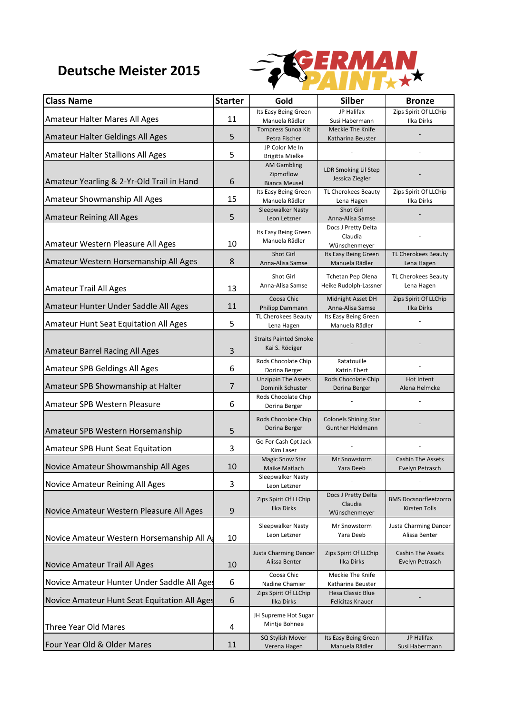## **Deutsche Meister 2015**



| <b>Class Name</b>                            | <b>Starter</b> | Gold                                           | <b>Silber</b>                          | <b>Bronze</b>                              |
|----------------------------------------------|----------------|------------------------------------------------|----------------------------------------|--------------------------------------------|
| Amateur Halter Mares All Ages                | 11             | Its Easy Being Green<br>Manuela Rädler         | JP Halifax<br>Susi Habermann           | Zips Spirit Of LLChip<br><b>Ilka Dirks</b> |
|                                              |                | Tompress Sunoa Kit                             | Meckie The Knife                       |                                            |
| Amateur Halter Geldings All Ages             | 5              | Petra Fischer                                  | Katharina Beuster                      |                                            |
| Amateur Halter Stallions All Ages            | 5              | JP Color Me In<br><b>Brigitta Mielke</b>       |                                        |                                            |
|                                              |                | <b>AM Gambling</b>                             | <b>LDR Smoking Lil Step</b>            |                                            |
| Amateur Yearling & 2-Yr-Old Trail in Hand    | 6              | Zipmoflow<br><b>Bianca Meusel</b>              | Jessica Ziegler                        |                                            |
|                                              |                | Its Easy Being Green                           | TL Cherokees Beauty                    | Zips Spirit Of LLChip                      |
| Amateur Showmanship All Ages                 | 15             | Manuela Rädler<br>Sleepwalker Nasty            | Lena Hagen<br>Shot Girl                | Ilka Dirks                                 |
| <b>Amateur Reining All Ages</b>              | 5              | Leon Letzner                                   | Anna-Alisa Samse                       |                                            |
|                                              |                | Its Easy Being Green                           | Docs J Pretty Delta                    |                                            |
| Amateur Western Pleasure All Ages            | 10             | Manuela Rädler                                 | Claudia                                |                                            |
|                                              |                | Shot Girl                                      | Wünschenmeyer<br>Its Easy Being Green  | TL Cherokees Beauty                        |
| Amateur Western Horsemanship All Ages        | 8              | Anna-Alisa Samse                               | Manuela Rädler                         | Lena Hagen                                 |
|                                              |                | Shot Girl                                      | <b>Tchetan Pep Olena</b>               | TL Cherokees Beauty                        |
| <b>Amateur Trail All Ages</b>                | 13             | Anna-Alisa Samse                               | Heike Rudolph-Lassner                  | Lena Hagen                                 |
|                                              |                | Coosa Chic                                     | Midnight Asset DH                      | Zips Spirit Of LLChip                      |
| Amateur Hunter Under Saddle All Ages         | 11             | Philipp Dammann                                | Anna-Alisa Samse                       | Ilka Dirks                                 |
| <b>Amateur Hunt Seat Equitation All Ages</b> | 5              | TL Cherokees Beauty<br>Lena Hagen              | Its Easy Being Green<br>Manuela Rädler |                                            |
|                                              |                | <b>Straits Painted Smoke</b>                   |                                        |                                            |
| Amateur Barrel Racing All Ages               | 3              | Kai S. Rödiger                                 |                                        |                                            |
|                                              |                | Rods Chocolate Chip                            | Ratatouille                            |                                            |
| Amateur SPB Geldings All Ages                | 6              | Dorina Berger                                  | Katrin Ebert                           |                                            |
| Amateur SPB Showmanship at Halter            | $\overline{7}$ | <b>Unzippin The Assets</b><br>Dominik Schuster | Rods Chocolate Chip<br>Dorina Berger   | Hot Intent<br>Alena Helmcke                |
|                                              |                | Rods Chocolate Chip                            |                                        |                                            |
| Amateur SPB Western Pleasure                 | 6              | Dorina Berger                                  |                                        |                                            |
|                                              |                | Rods Chocolate Chip                            | <b>Colonels Shining Star</b>           |                                            |
| Amateur SPB Western Horsemanship             | 5              | Dorina Berger                                  | <b>Gunther Heldmann</b>                |                                            |
|                                              |                | Go For Cash Cpt Jack                           |                                        |                                            |
| Amateur SPB Hunt Seat Equitation             | 3              | Kim Laser<br><b>Magic Snow Star</b>            | Mr Snowstorm                           | <b>Cashin The Assets</b>                   |
| Novice Amateur Showmanship All Ages          | 10             | Maike Matlach                                  | Yara Deeb                              | Evelyn Petrasch                            |
|                                              | 3              | Sleepwalker Nasty                              |                                        |                                            |
| Novice Amateur Reining All Ages              |                | Leon Letzner                                   | Docs J Pretty Delta                    |                                            |
|                                              |                | Zips Spirit Of LLChip                          | Claudia                                | <b>BMS Docsnorfleetzorro</b>               |
| Novice Amateur Western Pleasure All Ages     | 9              | Ilka Dirks                                     | Wünschenmeyer                          | Kirsten Tolls                              |
|                                              |                | Sleepwalker Nasty                              | Mr Snowstorm                           | Justa Charming Dancer                      |
| Novice Amateur Western Horsemanship All A    | 10             | Leon Letzner                                   | Yara Deeb                              | Alissa Benter                              |
|                                              |                | Justa Charming Dancer                          | Zips Spirit Of LLChip                  | <b>Cashin The Assets</b>                   |
| Novice Amateur Trail All Ages                | 10             | Alissa Benter                                  | Ilka Dirks                             | Evelyn Petrasch                            |
|                                              |                | Coosa Chic                                     | Meckie The Knife                       |                                            |
| Novice Amateur Hunter Under Saddle All Ages  | 6              | Nadine Chamier                                 | Katharina Beuster                      |                                            |
| Novice Amateur Hunt Seat Equitation All Ages | 6              | Zips Spirit Of LLChip<br>Ilka Dirks            | Hesa Classic Blue<br>Felicitas Knauer  |                                            |
|                                              |                | JH Supreme Hot Sugar                           |                                        |                                            |
| Three Year Old Mares                         | 4              | Mintje Bohnee                                  |                                        |                                            |
|                                              |                | SQ Stylish Mover                               | Its Easy Being Green                   | JP Halifax                                 |
| Four Year Old & Older Mares                  | 11             | Verena Hagen                                   | Manuela Rädler                         | Susi Habermann                             |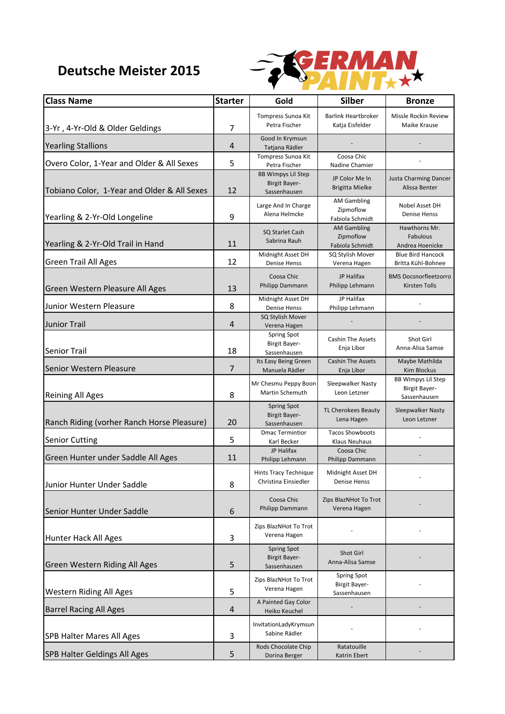## **Deutsche Meister 2015**



| <b>Class Name</b>                           | <b>Starter</b> | Gold                                                              | <b>Silber</b>                                              | <b>Bronze</b>                                              |
|---------------------------------------------|----------------|-------------------------------------------------------------------|------------------------------------------------------------|------------------------------------------------------------|
| 3-Yr, 4-Yr-Old & Older Geldings             | $\overline{7}$ | Tompress Sunoa Kit<br>Petra Fischer                               | <b>Barlink Heartbroker</b><br>Katja Eisfelder              | Missle Rockin Review<br>Maike Krause                       |
| <b>Yearling Stallions</b>                   | 4              | Good In Krymsun<br>Tatjana Rädler                                 |                                                            |                                                            |
| Overo Color, 1-Year and Older & All Sexes   | 5              | Tompress Sunoa Kit<br>Petra Fischer                               | Coosa Chic<br>Nadine Chamier                               |                                                            |
| Tobiano Color, 1-Year and Older & All Sexes | 12             | <b>BB Wimpys Lil Step</b><br><b>Birgit Bayer-</b><br>Sassenhausen | JP Color Me In<br>Brigitta Mielke                          | Justa Charming Dancer<br>Alissa Benter                     |
| Yearling & 2-Yr-Old Longeline               | 9              | Large And In Charge<br>Alena Helmcke                              | <b>AM Gambling</b><br>Zipmoflow<br>Fabiola Schmidt         | Nobel Asset DH<br>Denise Henss                             |
| Yearling & 2-Yr-Old Trail in Hand           | 11             | SQ Starlet Cash<br>Sabrina Rauh                                   | <b>AM Gambling</b><br>Zipmoflow<br>Fabiola Schmidt         | Hawthorns Mr.<br>Fabulous<br>Andrea Hoenicke               |
| <b>Green Trail All Ages</b>                 | 12             | Midnight Asset DH<br><b>Denise Henss</b>                          | SQ Stylish Mover<br>Verena Hagen                           | <b>Blue Bird Hancock</b><br>Britta Kühl-Bohnee             |
| Green Western Pleasure All Ages             | 13             | Coosa Chic<br>Philipp Dammann                                     | JP Halifax<br>Philipp Lehmann                              | <b>BMS Docsnorfleetzorro</b><br><b>Kirsten Tolls</b>       |
| Junior Western Pleasure                     | 8              | Midnight Asset DH<br><b>Denise Henss</b>                          | JP Halifax<br>Philipp Lehmann                              |                                                            |
| <b>Junior Trail</b>                         | 4              | SQ Stylish Mover<br>Verena Hagen                                  |                                                            |                                                            |
| <b>Senior Trail</b>                         | 18             | Spring Spot<br><b>Birgit Bayer-</b><br>Sassenhausen               | <b>Cashin The Assets</b><br>Enja Libor                     | Shot Girl<br>Anna-Alisa Samse                              |
| Senior Western Pleasure                     | $\overline{7}$ | Its Easy Being Green<br>Manuela Rädler                            | <b>Cashin The Assets</b><br>Enja Libor                     | Maybe Mathilda<br><b>Kim Blockus</b>                       |
| <b>Reining All Ages</b>                     | 8              | Mr Chesmu Peppy Boon<br>Martin Schemuth                           | Sleepwalker Nasty<br>Leon Letzner                          | <b>BB Wimpys Lil Step</b><br>Birgit Bayer-<br>Sassenhausen |
| Ranch Riding (vorher Ranch Horse Pleasure)  | 20             | <b>Spring Spot</b><br><b>Birgit Bayer-</b><br>Sassenhausen        | TL Cherokees Beauty<br>Lena Hagen                          | Sleepwalker Nasty<br>Leon Letzner                          |
| <b>Senior Cutting</b>                       | 5              | <b>Dmac Termintior</b><br>Karl Becker                             | <b>Tacos Showboots</b><br>Klaus Neuhaus                    |                                                            |
| Green Hunter under Saddle All Ages          | 11             | JP Halifax<br>Philipp Lehmann                                     | Coosa Chic<br>Philipp Dammann                              |                                                            |
| Junior Hunter Under Saddle                  | 8              | Hints Tracy Technique<br>Christina Einsiedler                     | Midnight Asset DH<br><b>Denise Henss</b>                   |                                                            |
| Senior Hunter Under Saddle                  | 6              | Coosa Chic<br>Philipp Dammann                                     | Zips BlazNHot To Trot<br>Verena Hagen                      |                                                            |
| Hunter Hack All Ages                        | 3              | Zips BlazNHot To Trot<br>Verena Hagen                             |                                                            |                                                            |
| Green Western Riding All Ages               | 5              | <b>Spring Spot</b><br><b>Birgit Bayer-</b><br>Sassenhausen        | Shot Girl<br>Anna-Alisa Samse                              |                                                            |
| <b>Western Riding All Ages</b>              | 5              | Zips BlazNHot To Trot<br>Verena Hagen                             | <b>Spring Spot</b><br><b>Birgit Bayer-</b><br>Sassenhausen |                                                            |
| <b>Barrel Racing All Ages</b>               | 4              | A Painted Gay Color<br>Heiko Keuchel                              |                                                            |                                                            |
| <b>SPB Halter Mares All Ages</b>            | 3              | InvitationLadyKrymsun<br>Sabine Rädler                            |                                                            |                                                            |
| <b>SPB Halter Geldings All Ages</b>         | 5              | Rods Chocolate Chip<br>Dorina Berger                              | Ratatouille<br>Katrin Ebert                                |                                                            |